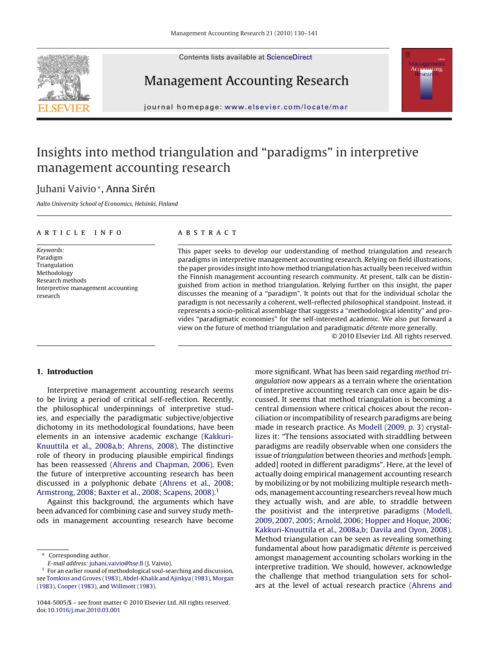Contents lists available at [ScienceDirect](http://www.sciencedirect.com/science/journal/10445005)







journal homepage: [www.elsevier.com/locate/mar](http://www.elsevier.com/locate/mar)

## Insights into method triangulation and "paradigms" in interpretive management accounting research

### Juhani Vaivio∗, Anna Sirén

Aalto University School of Economics, Helsinki, Finland

#### article info

Keywords: Paradigm Triangulation Methodology Research methods Interpretive management accounting research

#### abstract

This paper seeks to develop our understanding of method triangulation and research paradigms in interpretive management accounting research. Relying on field illustrations, the paper provides insight into how method triangulation has actually been received within the Finnish management accounting research community. At present, talk can be distinguished from action in method triangulation. Relying further on this insight, the paper discusses the meaning of a "paradigm". It points out that for the individual scholar the paradigm is not necessarily a coherent, well-reflected philosophical standpoint. Instead, it represents a socio-political assemblage that suggests a "methodological identity" and provides "paradigmatic economies" for the self-interested academic. We also put forward a view on the future of method triangulation and paradigmatic détente more generally.

© 2010 Elsevier Ltd. All rights reserved.

#### **1. Introduction**

Interpretive management accounting research seems to be living a period of critical self-reflection. Recently, the philosophical underpinnings of interpretive studies, and especially the paradigmatic subjective/objective dichotomy in its methodological foundations, have been elements in an intensive academic exchange [\(Kakkuri-](#page--1-0)Knuuttila [et al., 2008a,b; Ahrens, 2008\).](#page--1-0) The distinctive role of theory in producing plausible empirical findings has been reassessed ([Ahrens and Chapman, 2006\).](#page--1-0) Even the future of interpretive accounting research has been discussed in a polyphonic debate ([Ahrens et al., 2008;](#page--1-0) [Armstrong, 2008; Baxter et al., 2008; Scapens, 2008\).](#page--1-0)<sup>1</sup>

Against this background, the arguments which have been advanced for combining case and survey study methods in management accounting research have become

Corresponding author.

more significant. What has been said regarding method triangulation now appears as a terrain where the orientation of interpretive accounting research can once again be discussed. It seems that method triangulation is becoming a central dimension where critical choices about the reconciliation or incompatibility of research paradigms are being made in research practice. As [Modell \(2009, p. 3\)](#page--1-0) crystallizes it: "The tensions associated with straddling between paradigms are readily observable when one considers the issue of triangulation between theories and methods [emph. added] rooted in different paradigms". Here, at the level of actually doing empirical management accounting research by mobilizing or by not mobilizing multiple research methods, management accounting researchers reveal how much they actually wish, and are able, to straddle between the positivist and the interpretive paradigms ([Modell,](#page--1-0) [2009, 2007, 2005; Arnold, 2006; Hopper and Hoque, 2006;](#page--1-0) [Kakkuri-Knuuttila et al., 2008a,b; Davila and Oyon, 2008\).](#page--1-0) Method triangulation can be seen as revealing something fundamental about how paradigmatic détente is perceived amongst management accounting scholars working in the interpretive tradition. We should, however, acknowledge the challenge that method triangulation sets for scholars at the level of actual research practice ([Ahrens and](#page--1-0)

E-mail address: [juhani.vaivio@hse.fi](mailto:juhani.vaivio@hse.fi) (J. Vaivio).

<sup>&</sup>lt;sup>1</sup> For an earlier round of methodological soul-searching and discussion, see [Tomkins and Groves \(1983\),](#page--1-0) [Abdel-Khalik and Ajinkya \(1983\),](#page--1-0) [Morgan](#page--1-0) [\(1983\),](#page--1-0) [Cooper \(1983\), a](#page--1-0)nd [Willmott \(1983\).](#page--1-0)

<sup>1044-5005/\$ –</sup> see front matter © 2010 Elsevier Ltd. All rights reserved. doi[:10.1016/j.mar.2010.03.001](dx.doi.org/10.1016/j.mar.2010.03.001)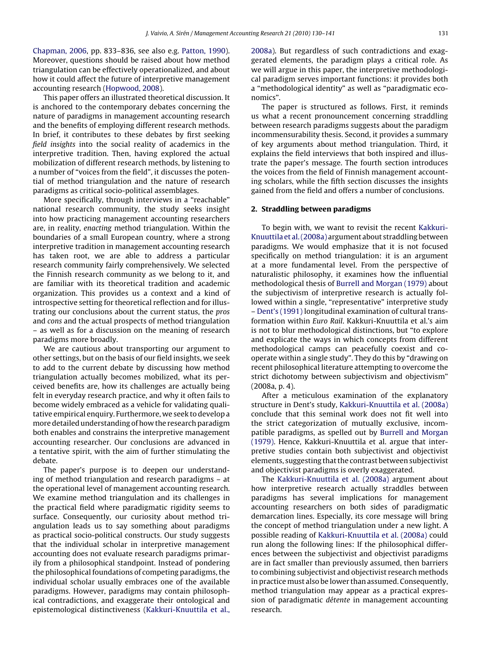[Chapman, 2006,](#page--1-0) pp. 833–836, see also e.g. [Patton, 1990\).](#page--1-0) Moreover, questions should be raised about how method triangulation can be effectively operationalized, and about how it could affect the future of interpretive management accounting research ([Hopwood, 2008\).](#page--1-0)

This paper offers an illustrated theoretical discussion. It is anchored to the contemporary debates concerning the nature of paradigms in management accounting research and the benefits of employing different research methods. In brief, it contributes to these debates by first seeking field insights into the social reality of academics in the interpretive tradition. Then, having explored the actual mobilization of different research methods, by listening to a number of "voices from the field", it discusses the potential of method triangulation and the nature of research paradigms as critical socio-political assemblages.

More specifically, through interviews in a "reachable" national research community, the study seeks insight into how practicing management accounting researchers are, in reality, enacting method triangulation. Within the boundaries of a small European country, where a strong interpretive tradition in management accounting research has taken root, we are able to address a particular research community fairly comprehensively. We selected the Finnish research community as we belong to it, and are familiar with its theoretical tradition and academic organization. This provides us a context and a kind of introspective setting for theoretical reflection and for illustrating our conclusions about the current status, the pros and cons and the actual prospects of method triangulation – as well as for a discussion on the meaning of research paradigms more broadly.

We are cautious about transporting our argument to other settings, but on the basis of our field insights, we seek to add to the current debate by discussing how method triangulation actually becomes mobilized, what its perceived benefits are, how its challenges are actually being felt in everyday research practice, and why it often fails to become widely embraced as a vehicle for validating qualitative empirical enquiry. Furthermore, we seek to develop a more detailed understanding of how the research paradigm both enables and constrains the interpretive management accounting researcher. Our conclusions are advanced in a tentative spirit, with the aim of further stimulating the debate.

The paper's purpose is to deepen our understanding of method triangulation and research paradigms – at the operational level of management accounting research. We examine method triangulation and its challenges in the practical field where paradigmatic rigidity seems to surface. Consequently, our curiosity about method triangulation leads us to say something about paradigms as practical socio-political constructs. Our study suggests that the individual scholar in interpretive management accounting does not evaluate research paradigms primarily from a philosophical standpoint. Instead of pondering the philosophical foundations of competing paradigms, the individual scholar usually embraces one of the available paradigms. However, paradigms may contain philosophical contradictions, and exaggerate their ontological and epistemological distinctiveness [\(Kakkuri-Knuuttila et al.,](#page--1-0) [2008a\).](#page--1-0) But regardless of such contradictions and exaggerated elements, the paradigm plays a critical role. As we will argue in this paper, the interpretive methodological paradigm serves important functions: it provides both a "methodological identity" as well as "paradigmatic economics".

The paper is structured as follows. First, it reminds us what a recent pronouncement concerning straddling between research paradigms suggests about the paradigm incommensurability thesis. Second, it provides a summary of key arguments about method triangulation. Third, it explains the field interviews that both inspired and illustrate the paper's message. The fourth section introduces the voices from the field of Finnish management accounting scholars, while the fifth section discusses the insights gained from the field and offers a number of conclusions.

#### **2. Straddling between paradigms**

To begin with, we want to revisit the recent [Kakkuri-](#page--1-0)Knuuttila [et al. \(2008a\)](#page--1-0) argument about straddling between paradigms. We would emphasize that it is not focused specifically on method triangulation: it is an argument at a more fundamental level. From the perspective of naturalistic philosophy, it examines how the influential methodological thesis of [Burrell and Morgan \(1979\)](#page--1-0) about the subjectivism of interpretive research is actually followed within a single, "representative" interpretive study – [Dent's \(1991\)](#page--1-0) longitudinal examination of cultural transformation within Euro Rail. Kakkuri-Knuuttila et al.'s aim is not to blur methodological distinctions, but "to explore and explicate the ways in which concepts from different methodological camps can peacefully coexist and cooperate within a single study". They do this by "drawing on recent philosophical literature attempting to overcome the strict dichotomy between subjectivism and objectivism" (2008a, p. 4).

After a meticulous examination of the explanatory structure in Dent's study, [Kakkuri-Knuuttila et al. \(2008a\)](#page--1-0) conclude that this seminal work does not fit well into the strict categorization of mutually exclusive, incompatible paradigms, as spelled out by [Burrell and Morgan](#page--1-0) [\(1979\).](#page--1-0) Hence, Kakkuri-Knuuttila et al. argue that interpretive studies contain both subjectivist and objectivist elements, suggesting that the contrast between subjectivist and objectivist paradigms is overly exaggerated.

The [Kakkuri-Knuuttila et al. \(2008a\)](#page--1-0) argument about how interpretive research actually straddles between paradigms has several implications for management accounting researchers on both sides of paradigmatic demarcation lines. Especially, its core message will bring the concept of method triangulation under a new light. A possible reading of [Kakkuri-Knuuttila et al. \(2008a\)](#page--1-0) could run along the following lines: If the philosophical differences between the subjectivist and objectivist paradigms are in fact smaller than previously assumed, then barriers to combining subjectivist and objectivist research methods in practice must also be lower than assumed. Consequently, method triangulation may appear as a practical expression of paradigmatic détente in management accounting research.